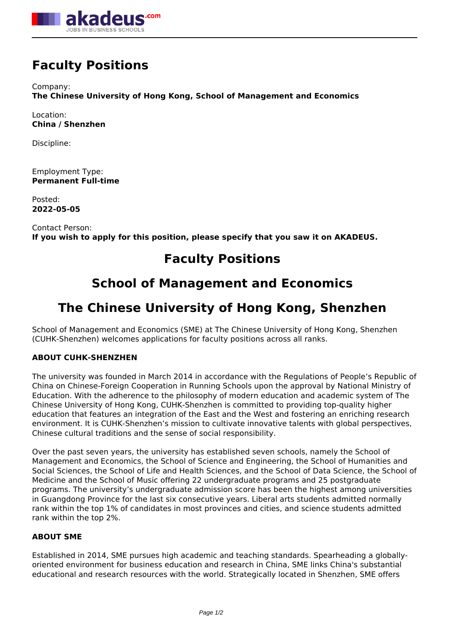

# **Faculty Positions**

Company: **The Chinese University of Hong Kong, School of Management and Economics**

Location: **China / Shenzhen**

Discipline:

Employment Type: **Permanent Full-time**

Posted: **2022-05-05**

Contact Person: **If you wish to apply for this position, please specify that you saw it on AKADEUS.**

# **Faculty Positions**

# **School of Management and Economics**

# **The Chinese University of Hong Kong, Shenzhen**

School of Management and Economics (SME) at The Chinese University of Hong Kong, Shenzhen (CUHK-Shenzhen) welcomes applications for faculty positions across all ranks.

# **ABOUT CUHK-SHENZHEN**

The university was founded in March 2014 in accordance with the Regulations of People's Republic of China on Chinese-Foreign Cooperation in Running Schools upon the approval by National Ministry of Education. With the adherence to the philosophy of modern education and academic system of The Chinese University of Hong Kong, CUHK-Shenzhen is committed to providing top-quality higher education that features an integration of the East and the West and fostering an enriching research environment. It is CUHK-Shenzhen's mission to cultivate innovative talents with global perspectives, Chinese cultural traditions and the sense of social responsibility.

Over the past seven years, the university has established seven schools, namely the School of Management and Economics, the School of Science and Engineering, the School of Humanities and Social Sciences, the School of Life and Health Sciences, and the School of Data Science, the School of Medicine and the School of Music offering 22 undergraduate programs and 25 postgraduate programs. The university's undergraduate admission score has been the highest among universities in Guangdong Province for the last six consecutive years. Liberal arts students admitted normally rank within the top 1% of candidates in most provinces and cities, and science students admitted rank within the top 2%.

# **ABOUT SME**

Established in 2014, SME pursues high academic and teaching standards. Spearheading a globallyoriented environment for business education and research in China, SME links China's substantial educational and research resources with the world. Strategically located in Shenzhen, SME offers